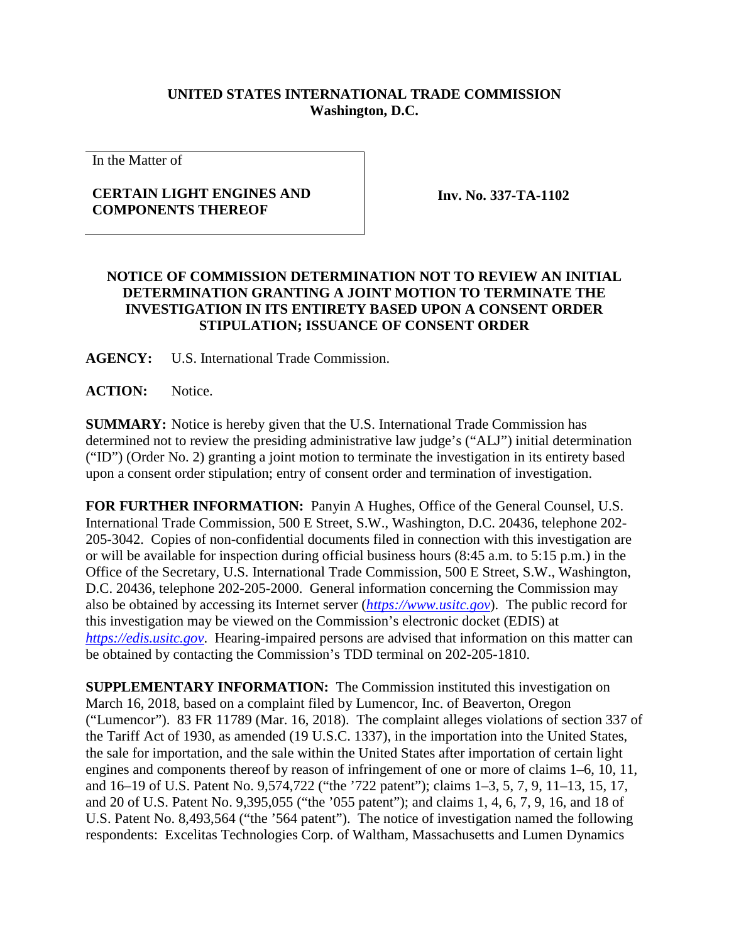## **UNITED STATES INTERNATIONAL TRADE COMMISSION Washington, D.C.**

In the Matter of

## **CERTAIN LIGHT ENGINES AND COMPONENTS THEREOF**

**Inv. No. 337-TA-1102**

## **NOTICE OF COMMISSION DETERMINATION NOT TO REVIEW AN INITIAL DETERMINATION GRANTING A JOINT MOTION TO TERMINATE THE INVESTIGATION IN ITS ENTIRETY BASED UPON A CONSENT ORDER STIPULATION; ISSUANCE OF CONSENT ORDER**

**AGENCY:** U.S. International Trade Commission.

ACTION: Notice.

**SUMMARY:** Notice is hereby given that the U.S. International Trade Commission has determined not to review the presiding administrative law judge's ("ALJ") initial determination ("ID") (Order No. 2) granting a joint motion to terminate the investigation in its entirety based upon a consent order stipulation; entry of consent order and termination of investigation.

**FOR FURTHER INFORMATION:** Panyin A Hughes, Office of the General Counsel, U.S. International Trade Commission, 500 E Street, S.W., Washington, D.C. 20436, telephone 202- 205-3042. Copies of non-confidential documents filed in connection with this investigation are or will be available for inspection during official business hours (8:45 a.m. to 5:15 p.m.) in the Office of the Secretary, U.S. International Trade Commission, 500 E Street, S.W., Washington, D.C. 20436, telephone 202-205-2000. General information concerning the Commission may also be obtained by accessing its Internet server (*[https://www.usitc.gov](https://www.usitc.gov/)*). The public record for this investigation may be viewed on the Commission's electronic docket (EDIS) at *[https://edis.usitc.gov](https://edis.usitc.gov/)*. Hearing-impaired persons are advised that information on this matter can be obtained by contacting the Commission's TDD terminal on 202-205-1810.

**SUPPLEMENTARY INFORMATION:** The Commission instituted this investigation on March 16, 2018, based on a complaint filed by Lumencor, Inc. of Beaverton, Oregon ("Lumencor"). 83 FR 11789 (Mar. 16, 2018). The complaint alleges violations of section 337 of the Tariff Act of 1930, as amended (19 U.S.C. 1337), in the importation into the United States, the sale for importation, and the sale within the United States after importation of certain light engines and components thereof by reason of infringement of one or more of claims 1–6, 10, 11, and 16–19 of U.S. Patent No. 9,574,722 ("the '722 patent"); claims 1–3, 5, 7, 9, 11–13, 15, 17, and 20 of U.S. Patent No. 9,395,055 ("the '055 patent"); and claims 1, 4, 6, 7, 9, 16, and 18 of U.S. Patent No. 8,493,564 ("the '564 patent"). The notice of investigation named the following respondents: Excelitas Technologies Corp. of Waltham, Massachusetts and Lumen Dynamics